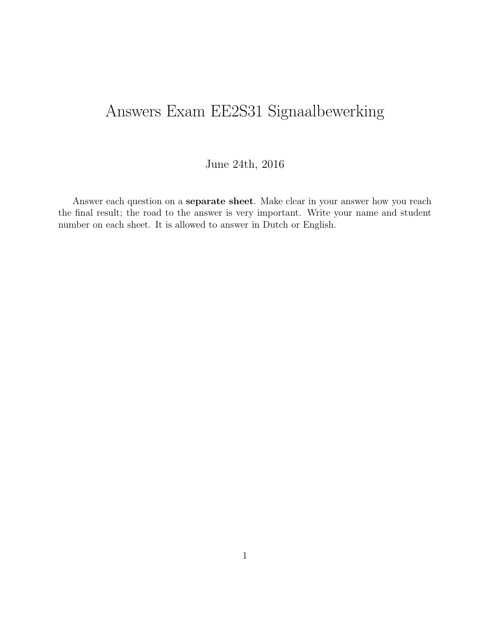# Answers Exam EE2S31 Signaalbewerking

#### June 24th, 2016

Answer each question on a separate sheet. Make clear in your answer how you reach the final result; the road to the answer is very important. Write your name and student number on each sheet. It is allowed to answer in Dutch or English.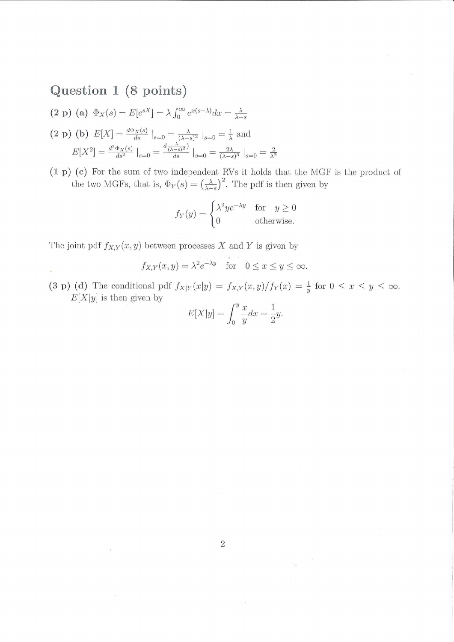## Question 1 (8 points)

 $\bar{\mathcal{G}}$ 

(2 p) (a) 
$$
\Phi_X(s) = E[e^{sX}] = \lambda \int_0^\infty e^{x(s-\lambda)} dx = \frac{\lambda}{\lambda-s}
$$

$$
\begin{aligned} \text{(2 p) (b) } E[X] &= \frac{d\Phi_X(s)}{ds} \big|_{s=0} = \frac{\lambda}{(\lambda - s)^2} \big|_{s=0} = \frac{1}{\lambda} \text{ and} \\ E[X^2] &= \frac{d^2\Phi_X(s)}{ds^2} \big|_{s=0} = \frac{d\frac{\lambda}{(\lambda - s)^2}}{ds} \big|_{s=0} = \frac{2\lambda}{(\lambda - s)^3} \big|_{s=0} = \frac{2}{\lambda^2} \end{aligned}
$$

 $(1 \text{ p})$  (c) For the sum of two independent RVs it holds that the MGF is the product of the two MGFs, that is,  $\Phi_Y(s) = \left(\frac{\lambda}{\lambda-s}\right)^2$ . The pdf is then given by

$$
f_Y(y) = \begin{cases} \lambda^2 y e^{-\lambda y} & \text{for } y \ge 0\\ 0 & \text{otherwise.} \end{cases}
$$

The joint pdf  $f_{X,Y}(x, y)$  between processes X and Y is given by

$$
f_{X,Y}(x, y) = \lambda^2 e^{-\lambda y}
$$
 for  $0 \le x \le y \le \infty$ .

(3 p) (d) The conditional pdf  $f_{X|Y}(x|y) = f_{X,Y}(x,y)/f_Y(x) = \frac{1}{y}$  for  $0 \le x \le y \le \infty$ .  $E[X|y]$  is then given by

$$
E[X|y] = \int_0^y \frac{x}{y} dx = \frac{1}{2}y.
$$

 $\overline{3}$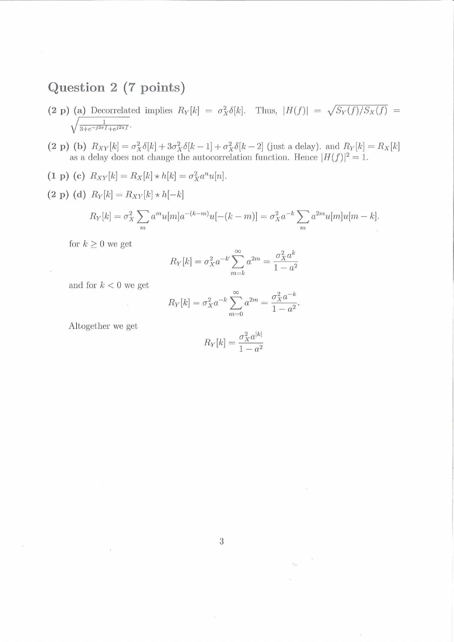### Question 2 (7 points)

- (2 p) (a) Decorrelated implies  $R_Y[k] = \sigma_X^2 \delta[k]$ . Thus,  $|H(f)| = \sqrt{S_Y(f)/S_X(f)} = \sqrt{\frac{1}{3+e^{-j2\pi f}+e^{j2\pi f}}}$ .
- $(2 \text{ p}) (b) R_{XY}[k] = \sigma_X^2 \delta[k] + 3\sigma_X^2 \delta[k-1] + \sigma_X^2 \delta[k-2]$  (just a delay), and  $R_Y[k] = R_X[k]$ as a delay does not change the autocorrelation function. Hence  $|H(f)|^2 = 1$ .
- (1 p) (c)  $R_{XY}[k] = R_X[k] * h[k] = \sigma_X^2 a^n u[n].$
- (2 p) (d)  $R_Y[k]=R_{XY}[k]\star h[-k]$

$$
R_Y[k] = \sigma_X^2 \sum_m a^m u[m] a^{-(k-m)} u[-(k-m)] = \sigma_X^2 a^{-k} \sum_m a^{2m} u[m] u[m-k].
$$

for  $k \geq 0$  we get

$$
R_Y[k] = \sigma_X^2 a^{-k} \sum_{m=k}^{\infty} a^{2m} = \frac{\sigma_X^2 a^k}{1 - a^2}
$$

and for  $k < 0$  we get

$$
R_Y[k] = \sigma_X^2 a^{-k} \sum_{m=0}^{\infty} a^{2m} = \frac{\sigma_X^2 a^{-k}}{1 - a^2}.
$$

Altogether we get

$$
R_Y[k] = \frac{\sigma_X^2 a^{|k|}}{1 - a^2}
$$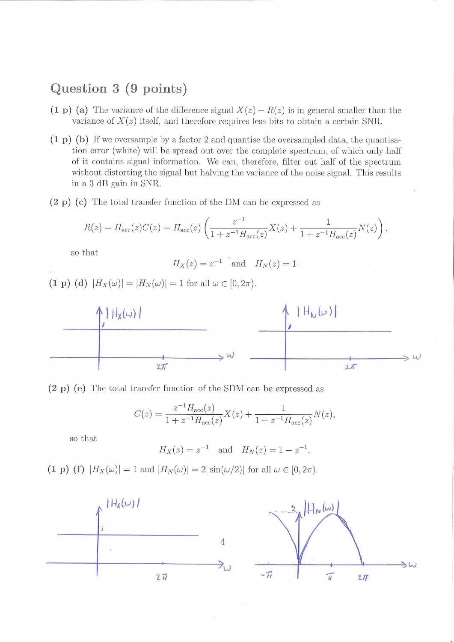#### Question 3 (9 points)

- (1 p) (a) The variance of the difference signal  $X(z) R(z)$  is in general smaller than the variance of  $X(z)$  itself, and therefore requires less bits to obtain a certain SNR.
- $(1\,\mathrm{p})$  (b) If we oversample by a factor 2 and quantise the oversampled data, the quantisation error (white) will be spread out over the complete spectrum, of which only half of it contains signal information. AVe can, therefore, filter out half of the spectrum without distorting the signal but halving the variance of the noise signal. This results in a 3 dB gain in SNR.
- $(2 p)$  (c) The total transfer function of the DM can be expressed as

$$
R(z) = H_{\text{acc}}(z)C(z) = H_{\text{acc}}(z) \left( \frac{z^{-1}}{1 + z^{-1}H_{\text{acc}}(z)} X(z) + \frac{1}{1 + z^{-1}H_{\text{acc}}(z)} N(z) \right),
$$

so that

$$
H_X(z) = z^{-1}
$$
 and  $H_N(z) = 1$ .

(1 p) (d)  $|H_X(\omega)| = |H_N(\omega)| = 1$  for all  $\omega \in [0, 2\pi)$ .





$$
C(z) = \frac{z^{-1}H_{\text{acc}}(z)}{1 + z^{-1}H_{\text{acc}}(z)}X(z) + \frac{1}{1 + z^{-1}H_{\text{acc}}(z)}N(z),
$$

so that

$$
H_X(z) = z^{-1}
$$
 and  $H_N(z) = 1 - z^{-1}$ .

(1 p) (f)  $|H_X(\omega)| = 1$  and  $|H_N(\omega)| = 2|\sin(\omega/2)|$  for all  $\omega \in [0, 2\pi)$ .

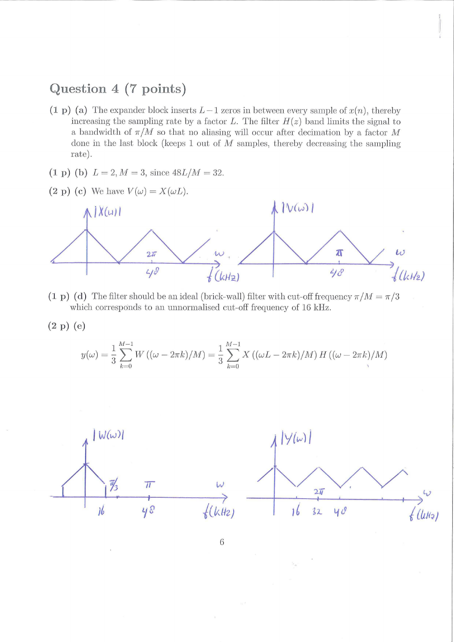### Question 4 (7 points)

- (1 p) (a) The expander block inserts  $L-1$  zeros in between every sample of  $x(n)$ , thereby increasing the sampling rate by a factor *L*. The filter  $H(z)$  band limits the signal to a bandwidth of  $\pi/M$  so that no aliasing will occur after decimation by a factor M done in the last block (keeps 1 out of *M* samples, thereby decreasing the sampling rate).
- (1 p) (b)  $L = 2, M = 3$ , since  $48L/M = 32$ .



- (1 p) (d) The filter should be an ideal (brick-wall) filter with cut-off frequency  $\pi/M = \pi/3$ which corresponds to an unnormalised cut-off frequency of 16 kHz.
- (2 P) (e)

$$
y(\omega) = \frac{1}{3} \sum_{k=0}^{M-1} W((\omega - 2\pi k)/M) = \frac{1}{3} \sum_{k=0}^{M-1} X((\omega L - 2\pi k)/M) H((\omega - 2\pi k)/M)
$$



 $\overline{6}$